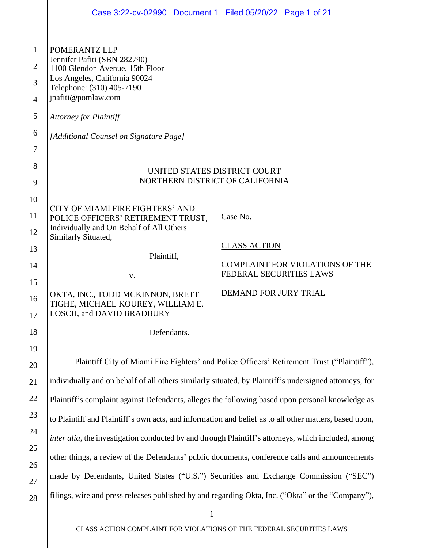|                                                                      | Case 3:22-cv-02990 Document 1 Filed 05/20/22 Page 1 of 21                                                                                                                                                                                                                                                                                                                                                                                                                                                     |                                                                                                                               |  |
|----------------------------------------------------------------------|---------------------------------------------------------------------------------------------------------------------------------------------------------------------------------------------------------------------------------------------------------------------------------------------------------------------------------------------------------------------------------------------------------------------------------------------------------------------------------------------------------------|-------------------------------------------------------------------------------------------------------------------------------|--|
| $\mathbf{1}$<br>$\overline{2}$<br>3<br>$\overline{4}$<br>5<br>6<br>7 | POMERANTZ LLP<br>Jennifer Pafiti (SBN 282790)<br>1100 Glendon Avenue, 15th Floor<br>Los Angeles, California 90024<br>Telephone: (310) 405-7190<br>jpafiti@pomlaw.com<br><b>Attorney for Plaintiff</b><br>[Additional Counsel on Signature Page]                                                                                                                                                                                                                                                               |                                                                                                                               |  |
| 8<br>9                                                               | UNITED STATES DISTRICT COURT<br>NORTHERN DISTRICT OF CALIFORNIA                                                                                                                                                                                                                                                                                                                                                                                                                                               |                                                                                                                               |  |
| 10<br>11<br>12<br>13<br>14<br>15<br>16<br>17<br>18                   | CITY OF MIAMI FIRE FIGHTERS' AND<br>POLICE OFFICERS' RETIREMENT TRUST,<br>Individually and On Behalf of All Others<br>Similarly Situated,<br>Plaintiff,<br>V.<br>OKTA, INC., TODD MCKINNON, BRETT<br>TIGHE, MICHAEL KOUREY, WILLIAM E<br>LOSCH, and DAVID BRADBURY<br>Defendants.                                                                                                                                                                                                                             | Case No.<br><b>CLASS ACTION</b><br><b>COMPLAINT FOR VIOLATIONS OF THE</b><br>FEDERAL SECURITIES LAWS<br>DEMAND FOR JURY TRIAL |  |
| 19<br>20<br>21<br>22                                                 | Plaintiff City of Miami Fire Fighters' and Police Officers' Retirement Trust ("Plaintiff"),<br>individually and on behalf of all others similarly situated, by Plaintiff's undersigned attorneys, for<br>Plaintiff's complaint against Defendants, alleges the following based upon personal knowledge as                                                                                                                                                                                                     |                                                                                                                               |  |
| 23<br>24<br>25<br>26<br>27<br>28                                     | to Plaintiff and Plaintiff's own acts, and information and belief as to all other matters, based upon,<br>inter alia, the investigation conducted by and through Plaintiff's attorneys, which included, among<br>other things, a review of the Defendants' public documents, conference calls and announcements<br>made by Defendants, United States ("U.S.") Securities and Exchange Commission ("SEC")<br>filings, wire and press releases published by and regarding Okta, Inc. ("Okta" or the "Company"), |                                                                                                                               |  |
|                                                                      |                                                                                                                                                                                                                                                                                                                                                                                                                                                                                                               |                                                                                                                               |  |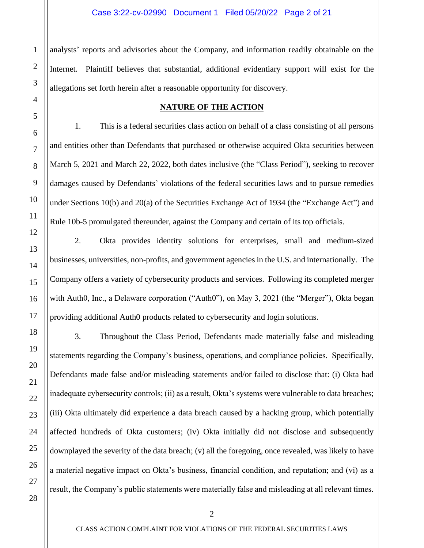analysts' reports and advisories about the Company, and information readily obtainable on the Internet. Plaintiff believes that substantial, additional evidentiary support will exist for the allegations set forth herein after a reasonable opportunity for discovery.

#### **NATURE OF THE ACTION**

1. This is a federal securities class action on behalf of a class consisting of all persons and entities other than Defendants that purchased or otherwise acquired Okta securities between March 5, 2021 and March 22, 2022, both dates inclusive (the "Class Period"), seeking to recover damages caused by Defendants' violations of the federal securities laws and to pursue remedies under Sections 10(b) and 20(a) of the Securities Exchange Act of 1934 (the "Exchange Act") and Rule 10b-5 promulgated thereunder, against the Company and certain of its top officials.

2. Okta provides identity solutions for enterprises, small and medium-sized businesses, universities, non-profits, and government agencies in the U.S. and internationally. The Company offers a variety of cybersecurity products and services. Following its completed merger with Auth0, Inc., a Delaware corporation ("Auth0"), on May 3, 2021 (the "Merger"), Okta began providing additional Auth0 products related to cybersecurity and login solutions.

3. Throughout the Class Period, Defendants made materially false and misleading statements regarding the Company's business, operations, and compliance policies. Specifically, Defendants made false and/or misleading statements and/or failed to disclose that: (i) Okta had inadequate cybersecurity controls; (ii) as a result, Okta's systems were vulnerable to data breaches; (iii) Okta ultimately did experience a data breach caused by a hacking group, which potentially affected hundreds of Okta customers; (iv) Okta initially did not disclose and subsequently downplayed the severity of the data breach; (v) all the foregoing, once revealed, was likely to have a material negative impact on Okta's business, financial condition, and reputation; and (vi) as a result, the Company's public statements were materially false and misleading at all relevant times.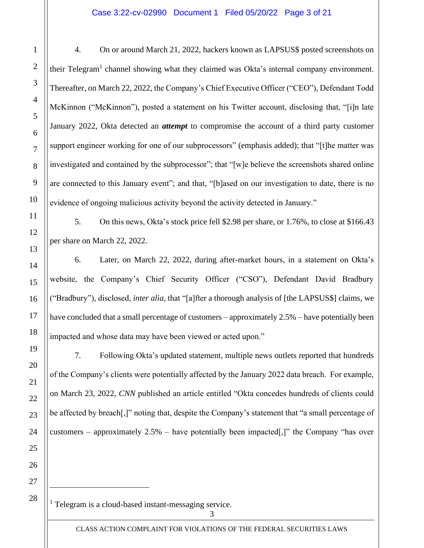#### Case 3:22-cv-02990 Document 1 Filed 05/20/22 Page 3 of 21

4. On or around March 21, 2022, hackers known as LAPSUS\$ posted screenshots on their Telegram<sup>1</sup> channel showing what they claimed was Okta's internal company environment. Thereafter, on March 22, 2022, the Company's Chief Executive Officer ("CEO"), Defendant Todd McKinnon ("McKinnon"), posted a statement on his Twitter account, disclosing that, "[i]n late January 2022, Okta detected an *attempt* to compromise the account of a third party customer support engineer working for one of our subprocessors" (emphasis added); that "[t]he matter was investigated and contained by the subprocessor"; that "[w]e believe the screenshots shared online are connected to this January event"; and that, "[b]ased on our investigation to date, there is no evidence of ongoing malicious activity beyond the activity detected in January."

5. On this news, Okta's stock price fell \$2.98 per share, or 1.76%, to close at \$166.43 per share on March 22, 2022.

6. Later, on March 22, 2022, during after-market hours, in a statement on Okta's website, the Company's Chief Security Officer ("CSO"), Defendant David Bradbury ("Bradbury"), disclosed, *inter alia*, that "[a]fter a thorough analysis of [the LAPSUS\$] claims, we have concluded that a small percentage of customers – approximately 2.5% – have potentially been impacted and whose data may have been viewed or acted upon."

7. Following Okta's updated statement, multiple news outlets reported that hundreds of the Company's clients were potentially affected by the January 2022 data breach. For example, on March 23, 2022, *CNN* published an article entitled "Okta concedes hundreds of clients could be affected by breach[,]" noting that, despite the Company's statement that "a small percentage of customers – approximately  $2.5%$  – have potentially been impacted[,]" the Company "has over

26 27 28

1

2

3

4

5

6

7

8

9

10

11

12

13

14

15

16

17

18

19

20

21

22

23

24

25

<sup>1</sup> Telegram is a cloud-based instant-messaging service.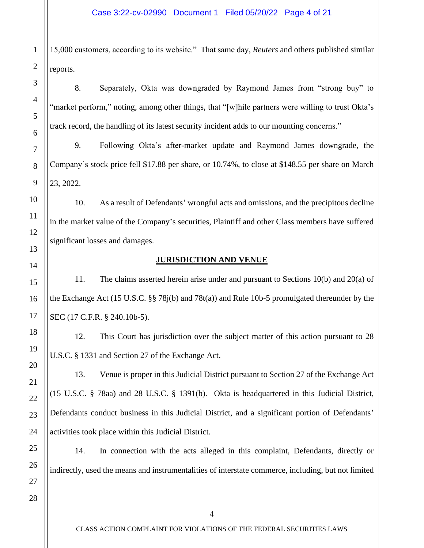15,000 customers, according to its website." That same day, *Reuters* and others published similar reports.

8. Separately, Okta was downgraded by Raymond James from "strong buy" to "market perform," noting, among other things, that "[w]hile partners were willing to trust Okta's track record, the handling of its latest security incident adds to our mounting concerns."

9. Following Okta's after-market update and Raymond James downgrade, the Company's stock price fell \$17.88 per share, or 10.74%, to close at \$148.55 per share on March 23, 2022.

10. As a result of Defendants' wrongful acts and omissions, and the precipitous decline in the market value of the Company's securities, Plaintiff and other Class members have suffered significant losses and damages.

# **JURISDICTION AND VENUE**

11. The claims asserted herein arise under and pursuant to Sections 10(b) and 20(a) of the Exchange Act (15 U.S.C. §§ 78j(b) and 78t(a)) and Rule 10b-5 promulgated thereunder by the SEC (17 C.F.R. § 240.10b-5).

12. This Court has jurisdiction over the subject matter of this action pursuant to 28 U.S.C. § 1331 and Section 27 of the Exchange Act.

13. Venue is proper in this Judicial District pursuant to Section 27 of the Exchange Act (15 U.S.C. § 78aa) and 28 U.S.C. § 1391(b). Okta is headquartered in this Judicial District, Defendants conduct business in this Judicial District, and a significant portion of Defendants' activities took place within this Judicial District.

14. In connection with the acts alleged in this complaint, Defendants, directly or indirectly, used the means and instrumentalities of interstate commerce, including, but not limited

1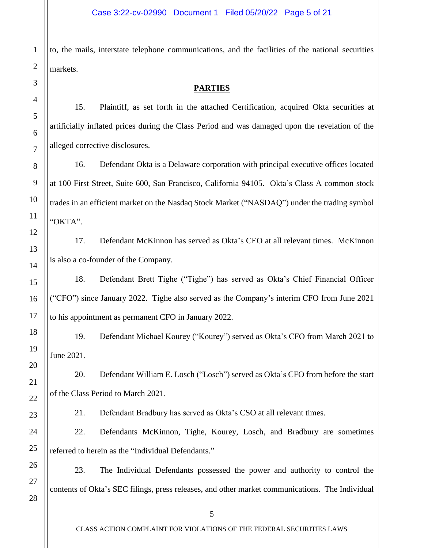to, the mails, interstate telephone communications, and the facilities of the national securities markets.

#### **PARTIES**

15. Plaintiff, as set forth in the attached Certification, acquired Okta securities at artificially inflated prices during the Class Period and was damaged upon the revelation of the alleged corrective disclosures.

16. Defendant Okta is a Delaware corporation with principal executive offices located at 100 First Street, Suite 600, San Francisco, California 94105. Okta's Class A common stock trades in an efficient market on the Nasdaq Stock Market ("NASDAQ") under the trading symbol "OKTA".

17. Defendant McKinnon has served as Okta's CEO at all relevant times. McKinnon is also a co-founder of the Company.

18. Defendant Brett Tighe ("Tighe") has served as Okta's Chief Financial Officer ("CFO") since January 2022. Tighe also served as the Company's interim CFO from June 2021 to his appointment as permanent CFO in January 2022.

19. Defendant Michael Kourey ("Kourey") served as Okta's CFO from March 2021 to June 2021.

20. Defendant William E. Losch ("Losch") served as Okta's CFO from before the start of the Class Period to March 2021.

21. Defendant Bradbury has served as Okta's CSO at all relevant times.

22. Defendants McKinnon, Tighe, Kourey, Losch, and Bradbury are sometimes referred to herein as the "Individual Defendants."

23. The Individual Defendants possessed the power and authority to control the contents of Okta's SEC filings, press releases, and other market communications. The Individual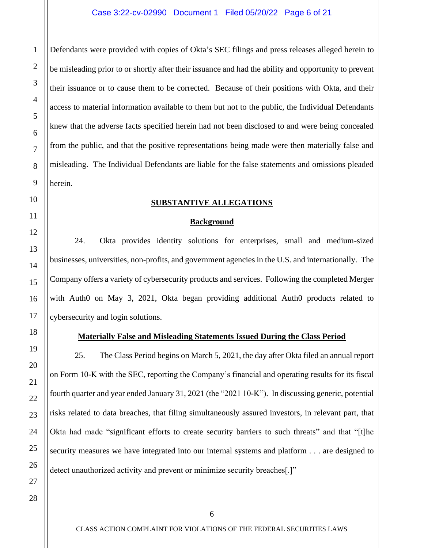Defendants were provided with copies of Okta's SEC filings and press releases alleged herein to be misleading prior to or shortly after their issuance and had the ability and opportunity to prevent their issuance or to cause them to be corrected. Because of their positions with Okta, and their access to material information available to them but not to the public, the Individual Defendants knew that the adverse facts specified herein had not been disclosed to and were being concealed from the public, and that the positive representations being made were then materially false and misleading. The Individual Defendants are liable for the false statements and omissions pleaded herein.

#### **SUBSTANTIVE ALLEGATIONS**

#### **Background**

24. Okta provides identity solutions for enterprises, small and medium-sized businesses, universities, non-profits, and government agencies in the U.S. and internationally. The Company offers a variety of cybersecurity products and services. Following the completed Merger with Auth0 on May 3, 2021, Okta began providing additional Auth0 products related to cybersecurity and login solutions.

## **Materially False and Misleading Statements Issued During the Class Period**

25. The Class Period begins on March 5, 2021, the day after Okta filed an annual report on Form 10-K with the SEC, reporting the Company's financial and operating results for its fiscal fourth quarter and year ended January 31, 2021 (the "2021 10-K"). In discussing generic, potential risks related to data breaches, that filing simultaneously assured investors, in relevant part, that Okta had made "significant efforts to create security barriers to such threats" and that "[t]he security measures we have integrated into our internal systems and platform . . . are designed to detect unauthorized activity and prevent or minimize security breaches[.]"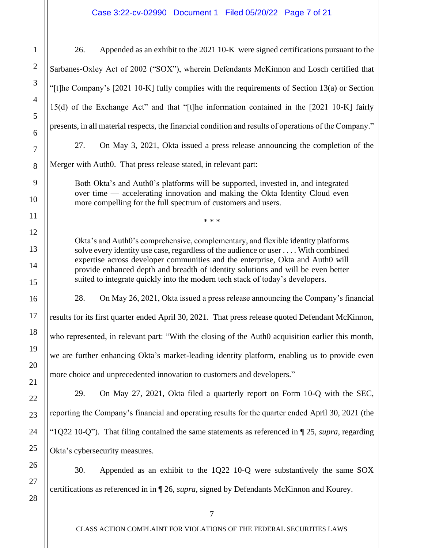# Case 3:22-cv-02990 Document 1 Filed 05/20/22 Page 7 of 21

| Appended as an exhibit to the 2021 10-K were signed certifications pursuant to the<br>26.                                                                                                                                                                                                                                                                                                                                  |  |  |
|----------------------------------------------------------------------------------------------------------------------------------------------------------------------------------------------------------------------------------------------------------------------------------------------------------------------------------------------------------------------------------------------------------------------------|--|--|
| Sarbanes-Oxley Act of 2002 ("SOX"), wherein Defendants McKinnon and Losch certified that                                                                                                                                                                                                                                                                                                                                   |  |  |
| "[t]he Company's [2021 10-K] fully complies with the requirements of Section 13(a) or Section                                                                                                                                                                                                                                                                                                                              |  |  |
| 15(d) of the Exchange Act" and that "[t]he information contained in the [2021 10-K] fairly                                                                                                                                                                                                                                                                                                                                 |  |  |
| presents, in all material respects, the financial condition and results of operations of the Company."                                                                                                                                                                                                                                                                                                                     |  |  |
| 27.<br>On May 3, 2021, Okta issued a press release announcing the completion of the                                                                                                                                                                                                                                                                                                                                        |  |  |
| Merger with Auth0. That press release stated, in relevant part:                                                                                                                                                                                                                                                                                                                                                            |  |  |
| Both Okta's and Auth0's platforms will be supported, invested in, and integrated<br>over time — accelerating innovation and making the Okta Identity Cloud even<br>more compelling for the full spectrum of customers and users.                                                                                                                                                                                           |  |  |
| * * *                                                                                                                                                                                                                                                                                                                                                                                                                      |  |  |
| Okta's and Auth0's comprehensive, complementary, and flexible identity platforms<br>solve every identity use case, regardless of the audience or user With combined<br>expertise across developer communities and the enterprise, Okta and Auth0 will<br>provide enhanced depth and breadth of identity solutions and will be even better<br>suited to integrate quickly into the modern tech stack of today's developers. |  |  |
| 28.<br>On May 26, 2021, Okta issued a press release announcing the Company's financial                                                                                                                                                                                                                                                                                                                                     |  |  |
| results for its first quarter ended April 30, 2021. That press release quoted Defendant McKinnon,                                                                                                                                                                                                                                                                                                                          |  |  |
| who represented, in relevant part: "With the closing of the Auth0 acquisition earlier this month,                                                                                                                                                                                                                                                                                                                          |  |  |
| we are further enhancing Okta's market-leading identity platform, enabling us to provide even                                                                                                                                                                                                                                                                                                                              |  |  |
| more choice and unprecedented innovation to customers and developers."                                                                                                                                                                                                                                                                                                                                                     |  |  |
| 29.<br>On May 27, 2021, Okta filed a quarterly report on Form 10-Q with the SEC,                                                                                                                                                                                                                                                                                                                                           |  |  |
| reporting the Company's financial and operating results for the quarter ended April 30, 2021 (the                                                                                                                                                                                                                                                                                                                          |  |  |
| "1Q22 10-Q"). That filing contained the same statements as referenced in $\P$ 25, supra, regarding                                                                                                                                                                                                                                                                                                                         |  |  |
| Okta's cybersecurity measures.                                                                                                                                                                                                                                                                                                                                                                                             |  |  |
| Appended as an exhibit to the 1Q22 10-Q were substantively the same SOX<br>30.                                                                                                                                                                                                                                                                                                                                             |  |  |
| certifications as referenced in in ¶ 26, <i>supra</i> , signed by Defendants McKinnon and Kourey.                                                                                                                                                                                                                                                                                                                          |  |  |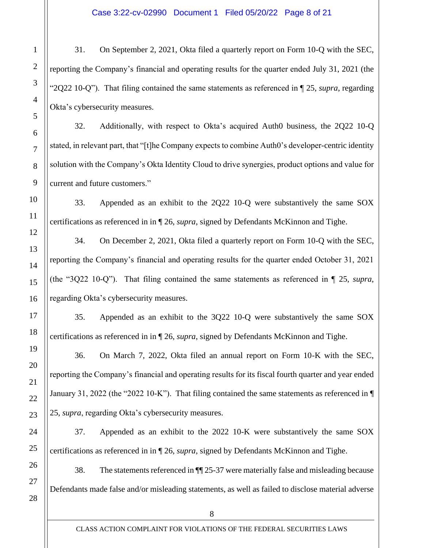31. On September 2, 2021, Okta filed a quarterly report on Form 10-Q with the SEC, reporting the Company's financial and operating results for the quarter ended July 31, 2021 (the "2Q22 10-Q"). That filing contained the same statements as referenced in ¶ 25, *supra*, regarding Okta's cybersecurity measures.

32. Additionally, with respect to Okta's acquired Auth0 business, the 2Q22 10-Q stated, in relevant part, that "[t]he Company expects to combine Auth0's developer-centric identity solution with the Company's Okta Identity Cloud to drive synergies, product options and value for current and future customers."

33. Appended as an exhibit to the 2Q22 10-Q were substantively the same SOX certifications as referenced in in ¶ 26, *supra*, signed by Defendants McKinnon and Tighe.

34. On December 2, 2021, Okta filed a quarterly report on Form 10-Q with the SEC, reporting the Company's financial and operating results for the quarter ended October 31, 2021 (the "3Q22 10-Q"). That filing contained the same statements as referenced in ¶ 25, *supra*, regarding Okta's cybersecurity measures.

35. Appended as an exhibit to the 3Q22 10-Q were substantively the same SOX certifications as referenced in in ¶ 26, *supra*, signed by Defendants McKinnon and Tighe.

36. On March 7, 2022, Okta filed an annual report on Form 10-K with the SEC, reporting the Company's financial and operating results for its fiscal fourth quarter and year ended January 31, 2022 (the "2022 10-K"). That filing contained the same statements as referenced in ¶ 25, *supra*, regarding Okta's cybersecurity measures.

37. Appended as an exhibit to the 2022 10-K were substantively the same SOX certifications as referenced in in ¶ 26, *supra*, signed by Defendants McKinnon and Tighe.

38. The statements referenced in ¶¶ 25-37 were materially false and misleading because Defendants made false and/or misleading statements, as well as failed to disclose material adverse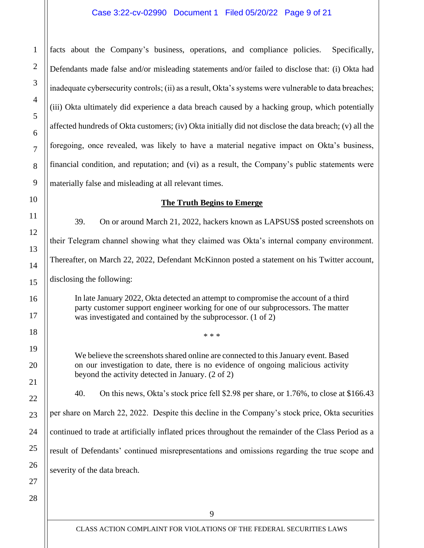#### Case 3:22-cv-02990 Document 1 Filed 05/20/22 Page 9 of 21

facts about the Company's business, operations, and compliance policies. Specifically, Defendants made false and/or misleading statements and/or failed to disclose that: (i) Okta had inadequate cybersecurity controls; (ii) as a result, Okta's systems were vulnerable to data breaches; (iii) Okta ultimately did experience a data breach caused by a hacking group, which potentially affected hundreds of Okta customers; (iv) Okta initially did not disclose the data breach; (v) all the foregoing, once revealed, was likely to have a material negative impact on Okta's business, financial condition, and reputation; and (vi) as a result, the Company's public statements were materially false and misleading at all relevant times.

#### **The Truth Begins to Emerge**

39. On or around March 21, 2022, hackers known as LAPSUS\$ posted screenshots on their Telegram channel showing what they claimed was Okta's internal company environment. Thereafter, on March 22, 2022, Defendant McKinnon posted a statement on his Twitter account, disclosing the following:

In late January 2022, Okta detected an attempt to compromise the account of a third

party customer support engineer working for one of our subprocessors. The matter was investigated and contained by the subprocessor. (1 of 2)

\* \* \*

We believe the screenshots shared online are connected to this January event. Based on our investigation to date, there is no evidence of ongoing malicious activity beyond the activity detected in January. (2 of 2)

40. On this news, Okta's stock price fell \$2.98 per share, or 1.76%, to close at \$166.43

per share on March 22, 2022. Despite this decline in the Company's stock price, Okta securities

continued to trade at artificially inflated prices throughout the remainder of the Class Period as a

result of Defendants' continued misrepresentations and omissions regarding the true scope and

27 severity of the data breach.

28

1

2

3

4

5

6

7

8

9

10

11

12

13

14

15

16

17

18

19

20

21

22

23

24

25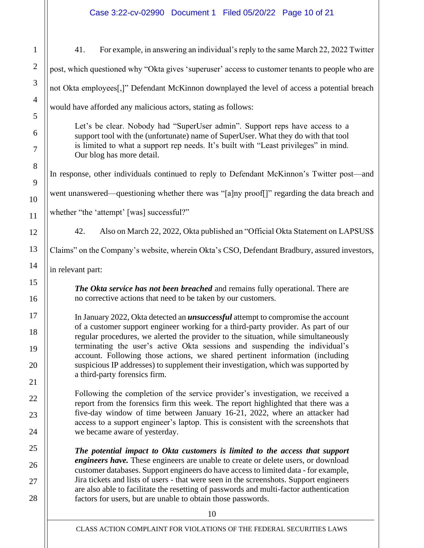41. For example, in answering an individual's reply to the same March 22, 2022 Twitter

| $\mathbf 1$    |
|----------------|
| $\overline{c}$ |
| 3              |
| $\overline{4}$ |
| 5              |
| 6              |
| $\overline{7}$ |
| 8              |
| $\overline{Q}$ |
| 10             |
| 11             |
| 12             |
| 13             |
| 14             |
| 15             |
| 16             |
| 17             |
| 18             |
| 19             |
| 20             |
| $^{21}$        |
| )              |
| $\mathbf{I}$   |
| ,<br>4         |
| 25             |
| $\frac{2}{3}$  |
| 'ِ(            |
| ر(             |

post, which questioned why "Okta gives 'superuser' access to customer tenants to people who are not Okta employees[,]" Defendant McKinnon downplayed the level of access a potential breach would have afforded any malicious actors, stating as follows: Let's be clear. Nobody had "SuperUser admin". Support reps have access to a support tool with the (unfortunate) name of SuperUser. What they do with that tool is limited to what a support rep needs. It's built with "Least privileges" in mind. Our blog has more detail. In response, other individuals continued to reply to Defendant McKinnon's Twitter post—and went unanswered—questioning whether there was "[a]ny proof[]" regarding the data breach and whether "the 'attempt' [was] successful?" 42. Also on March 22, 2022, Okta published an "Official Okta Statement on LAPSUS\$ Claims" on the Company's website, wherein Okta's CSO, Defendant Bradbury, assured investors, in relevant part: *The Okta service has not been breached* and remains fully operational. There are no corrective actions that need to be taken by our customers. In January 2022, Okta detected an *unsuccessful* attempt to compromise the account of a customer support engineer working for a third-party provider. As part of our regular procedures, we alerted the provider to the situation, while simultaneously terminating the user's active Okta sessions and suspending the individual's account. Following those actions, we shared pertinent information (including suspicious IP addresses) to supplement their investigation, which was supported by a third-party forensics firm. Following the completion of the service provider's investigation, we received a report from the forensics firm this week. The report highlighted that there was a five-day window of time between January 16-21, 2022, where an attacker had access to a support engineer's laptop. This is consistent with the screenshots that we became aware of yesterday. *The potential impact to Okta customers is limited to the access that support engineers have.* These engineers are unable to create or delete users, or download customer databases. Support engineers do have access to limited data - for example, Jira tickets and lists of users - that were seen in the screenshots. Support engineers are also able to facilitate the resetting of passwords and multi-factor authentication factors for users, but are unable to obtain those passwords.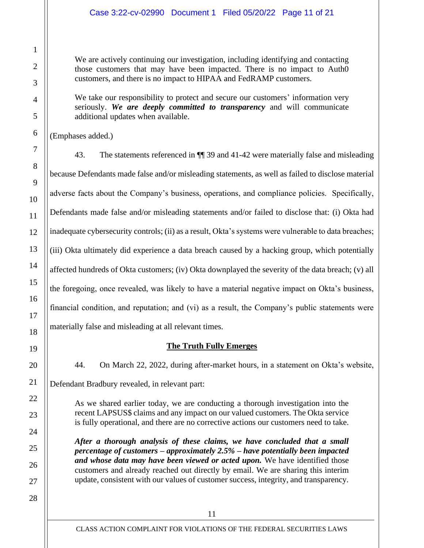## Case 3:22-cv-02990 Document 1 Filed 05/20/22 Page 11 of 21

We are actively continuing our investigation, including identifying and contacting those customers that may have been impacted. There is no impact to Auth0 customers, and there is no impact to HIPAA and FedRAMP customers.

We take our responsibility to protect and secure our customers' information very seriously. *We are deeply committed to transparency* and will communicate additional updates when available.

(Emphases added.)

43. The statements referenced in ¶¶ 39 and 41-42 were materially false and misleading because Defendants made false and/or misleading statements, as well as failed to disclose material adverse facts about the Company's business, operations, and compliance policies. Specifically, Defendants made false and/or misleading statements and/or failed to disclose that: (i) Okta had inadequate cybersecurity controls; (ii) as a result, Okta's systems were vulnerable to data breaches; (iii) Okta ultimately did experience a data breach caused by a hacking group, which potentially affected hundreds of Okta customers; (iv) Okta downplayed the severity of the data breach; (v) all the foregoing, once revealed, was likely to have a material negative impact on Okta's business, financial condition, and reputation; and (vi) as a result, the Company's public statements were materially false and misleading at all relevant times.

# **The Truth Fully Emerges**

44. On March 22, 2022, during after-market hours, in a statement on Okta's website, Defendant Bradbury revealed, in relevant part:

As we shared earlier today, we are conducting a thorough investigation into the recent LAPSUS\$ claims and any impact on our valued customers. The Okta service is fully operational, and there are no corrective actions our customers need to take.

*After a thorough analysis of these claims, we have concluded that a small percentage of customers – approximately 2.5% – have potentially been impacted and whose data may have been viewed or acted upon.* We have identified those customers and already reached out directly by email. We are sharing this interim update, consistent with our values of customer success, integrity, and transparency.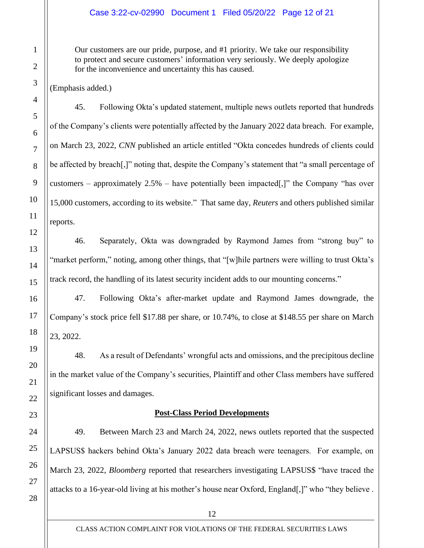#### Case 3:22-cv-02990 Document 1 Filed 05/20/22 Page 12 of 21

Our customers are our pride, purpose, and #1 priority. We take our responsibility to protect and secure customers' information very seriously. We deeply apologize for the inconvenience and uncertainty this has caused.

(Emphasis added.)

45. Following Okta's updated statement, multiple news outlets reported that hundreds of the Company's clients were potentially affected by the January 2022 data breach. For example, on March 23, 2022, *CNN* published an article entitled "Okta concedes hundreds of clients could be affected by breach[,]" noting that, despite the Company's statement that "a small percentage of customers – approximately  $2.5%$  – have potentially been impacted[,]" the Company "has over 15,000 customers, according to its website." That same day, *Reuters* and others published similar reports.

46. Separately, Okta was downgraded by Raymond James from "strong buy" to "market perform," noting, among other things, that "[w]hile partners were willing to trust Okta's track record, the handling of its latest security incident adds to our mounting concerns."

47. Following Okta's after-market update and Raymond James downgrade, the Company's stock price fell \$17.88 per share, or 10.74%, to close at \$148.55 per share on March 23, 2022.

48. As a result of Defendants' wrongful acts and omissions, and the precipitous decline in the market value of the Company's securities, Plaintiff and other Class members have suffered significant losses and damages.

#### **Post-Class Period Developments**

49. Between March 23 and March 24, 2022, news outlets reported that the suspected LAPSUS\$ hackers behind Okta's January 2022 data breach were teenagers. For example, on March 23, 2022, *Bloomberg* reported that researchers investigating LAPSUS\$ "have traced the attacks to a 16-year-old living at his mother's house near Oxford, England[,]" who "they believe .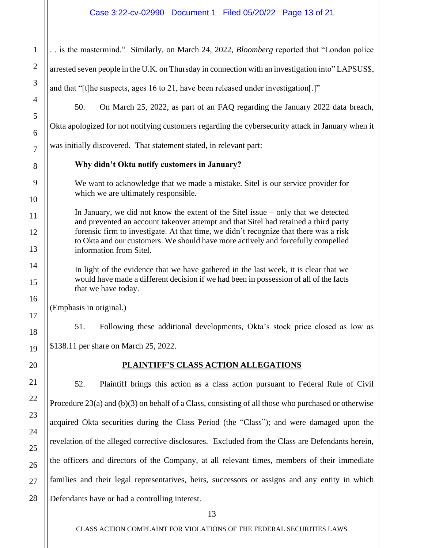# Case 3:22-cv-02990 Document 1 Filed 05/20/22 Page 13 of 21

| $\mathbf{1}$   | is the mastermind." Similarly, on March 24, 2022, Bloomberg reported that "London police                                                                                   |  |
|----------------|----------------------------------------------------------------------------------------------------------------------------------------------------------------------------|--|
| $\mathbf{2}$   | arrested seven people in the U.K. on Thursday in connection with an investigation into" LAPSUS\$,                                                                          |  |
| 3              | and that "[t] he suspects, ages 16 to 21, have been released under investigation.]"                                                                                        |  |
| $\overline{4}$ | 50.<br>On March 25, 2022, as part of an FAQ regarding the January 2022 data breach,                                                                                        |  |
| 5<br>6         | Okta apologized for not notifying customers regarding the cybersecurity attack in January when it                                                                          |  |
| $\overline{7}$ | was initially discovered. That statement stated, in relevant part:                                                                                                         |  |
| 8              | Why didn't Okta notify customers in January?                                                                                                                               |  |
| 9              | We want to acknowledge that we made a mistake. Sitel is our service provider for<br>which we are ultimately responsible.                                                   |  |
| 10             |                                                                                                                                                                            |  |
| 11             | In January, we did not know the extent of the Sitel issue $-$ only that we detected<br>and prevented an account takeover attempt and that Sitel had retained a third party |  |
| 12             | forensic firm to investigate. At that time, we didn't recognize that there was a risk<br>to Okta and our customers. We should have more actively and forcefully compelled  |  |
| 13             | information from Sitel.                                                                                                                                                    |  |
| 14             | In light of the evidence that we have gathered in the last week, it is clear that we                                                                                       |  |
| 15             | would have made a different decision if we had been in possession of all of the facts<br>that we have today.                                                               |  |
| 16             | (Emphasis in original.)                                                                                                                                                    |  |
| 17<br>18       | 51.<br>Following these additional developments, Okta's stock price closed as low as                                                                                        |  |
| 19             | \$138.11 per share on March 25, 2022                                                                                                                                       |  |
| 20             | PLAINTIFF'S CLASS ACTION ALLEGATIONS                                                                                                                                       |  |
| 21             | 52.<br>Plaintiff brings this action as a class action pursuant to Federal Rule of Civil                                                                                    |  |
| 22             | Procedure $23(a)$ and $(b)(3)$ on behalf of a Class, consisting of all those who purchased or otherwise                                                                    |  |
| 23             | acquired Okta securities during the Class Period (the "Class"); and were damaged upon the                                                                                  |  |
| 24             | revelation of the alleged corrective disclosures. Excluded from the Class are Defendants herein,                                                                           |  |
| 25             | the officers and directors of the Company, at all relevant times, members of their immediate                                                                               |  |
| 26             |                                                                                                                                                                            |  |
| 27             | families and their legal representatives, heirs, successors or assigns and any entity in which                                                                             |  |
| 28             | Defendants have or had a controlling interest.                                                                                                                             |  |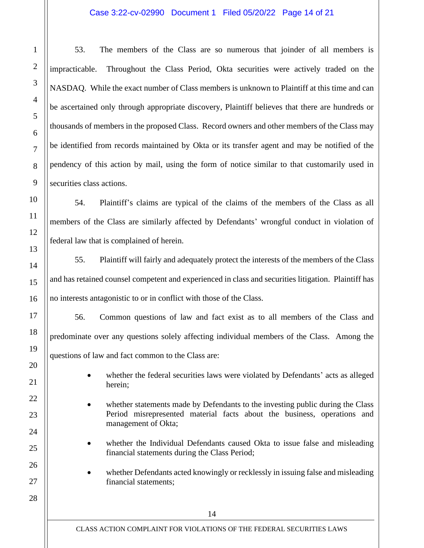#### Case 3:22-cv-02990 Document 1 Filed 05/20/22 Page 14 of 21

53. The members of the Class are so numerous that joinder of all members is impracticable. Throughout the Class Period, Okta securities were actively traded on the NASDAQ. While the exact number of Class members is unknown to Plaintiff at this time and can be ascertained only through appropriate discovery, Plaintiff believes that there are hundreds or thousands of members in the proposed Class. Record owners and other members of the Class may be identified from records maintained by Okta or its transfer agent and may be notified of the pendency of this action by mail, using the form of notice similar to that customarily used in securities class actions.

54. Plaintiff's claims are typical of the claims of the members of the Class as all members of the Class are similarly affected by Defendants' wrongful conduct in violation of federal law that is complained of herein.

55. Plaintiff will fairly and adequately protect the interests of the members of the Class and has retained counsel competent and experienced in class and securities litigation. Plaintiff has no interests antagonistic to or in conflict with those of the Class.

56. Common questions of law and fact exist as to all members of the Class and predominate over any questions solely affecting individual members of the Class. Among the questions of law and fact common to the Class are:

- whether the federal securities laws were violated by Defendants' acts as alleged herein;
- whether statements made by Defendants to the investing public during the Class Period misrepresented material facts about the business, operations and management of Okta;
- whether the Individual Defendants caused Okta to issue false and misleading financial statements during the Class Period;
- whether Defendants acted knowingly or recklessly in issuing false and misleading financial statements;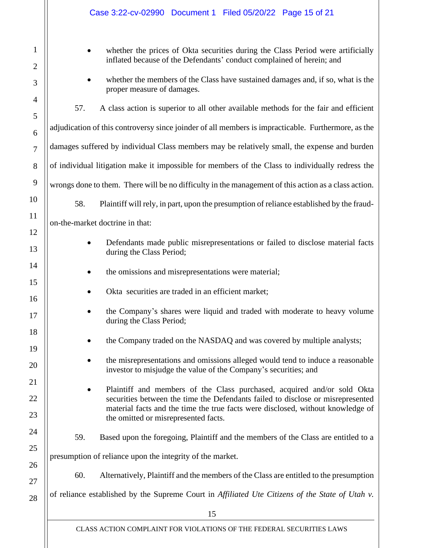|                     | Case 3:22-cv-02990 Document 1 Filed 05/20/22 Page 15 of 21                                                                                                                                                                                    |  |  |
|---------------------|-----------------------------------------------------------------------------------------------------------------------------------------------------------------------------------------------------------------------------------------------|--|--|
| 1<br>$\overline{2}$ | whether the prices of Okta securities during the Class Period were artificially<br>inflated because of the Defendants' conduct complained of herein; and                                                                                      |  |  |
| 3                   | whether the members of the Class have sustained damages and, if so, what is the<br>proper measure of damages.                                                                                                                                 |  |  |
| $\overline{4}$<br>5 | A class action is superior to all other available methods for the fair and efficient<br>57.                                                                                                                                                   |  |  |
| 6                   | adjudication of this controversy since joinder of all members is impracticable. Furthermore, as the                                                                                                                                           |  |  |
| $\tau$              | damages suffered by individual Class members may be relatively small, the expense and burden                                                                                                                                                  |  |  |
| 8                   | of individual litigation make it impossible for members of the Class to individually redress the                                                                                                                                              |  |  |
| 9                   | wrongs done to them. There will be no difficulty in the management of this action as a class action.                                                                                                                                          |  |  |
| 10                  | Plaintiff will rely, in part, upon the presumption of reliance established by the fraud-<br>58.                                                                                                                                               |  |  |
| 11                  | on-the-market doctrine in that:                                                                                                                                                                                                               |  |  |
| 12<br>13            | Defendants made public misrepresentations or failed to disclose material facts<br>during the Class Period;                                                                                                                                    |  |  |
| 14                  | the omissions and misrepresentations were material;                                                                                                                                                                                           |  |  |
| 15<br>16            | Okta securities are traded in an efficient market;                                                                                                                                                                                            |  |  |
| 17                  | the Company's shares were liquid and traded with moderate to heavy volume<br>during the Class Period;                                                                                                                                         |  |  |
| 18<br>19            | the Company traded on the NASDAQ and was covered by multiple analysts;                                                                                                                                                                        |  |  |
| 20                  | the misrepresentations and omissions alleged would tend to induce a reasonable<br>investor to misjudge the value of the Company's securities; and                                                                                             |  |  |
| 21<br>22<br>23      | Plaintiff and members of the Class purchased, acquired and/or sold Okta<br>securities between the time the Defendants failed to disclose or misrepresented<br>material facts and the time the true facts were disclosed, without knowledge of |  |  |
| 24                  | the omitted or misrepresented facts.<br>Based upon the foregoing, Plaintiff and the members of the Class are entitled to a<br>59.                                                                                                             |  |  |
| 25                  | presumption of reliance upon the integrity of the market.                                                                                                                                                                                     |  |  |
| 26<br>27            | 60.<br>Alternatively, Plaintiff and the members of the Class are entitled to the presumption                                                                                                                                                  |  |  |
| 28                  | of reliance established by the Supreme Court in Affiliated Ute Citizens of the State of Utah v.                                                                                                                                               |  |  |
|                     | 15                                                                                                                                                                                                                                            |  |  |

CLASS ACTION COMPLAINT FOR VIOLATIONS OF THE FEDERAL SECURITIES LAWS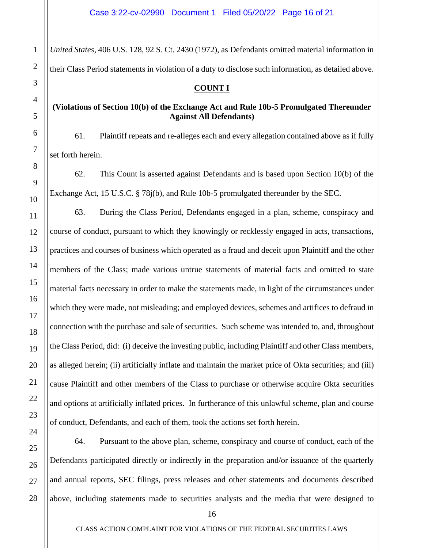*United States*, 406 U.S. 128, 92 S. Ct. 2430 (1972), as Defendants omitted material information in their Class Period statements in violation of a duty to disclose such information, as detailed above.

## **COUNT I**

## **(Violations of Section 10(b) of the Exchange Act and Rule 10b-5 Promulgated Thereunder Against All Defendants)**

61. Plaintiff repeats and re-alleges each and every allegation contained above as if fully set forth herein.

62. This Count is asserted against Defendants and is based upon Section 10(b) of the Exchange Act, 15 U.S.C. § 78j(b), and Rule 10b-5 promulgated thereunder by the SEC.

63. During the Class Period, Defendants engaged in a plan, scheme, conspiracy and course of conduct, pursuant to which they knowingly or recklessly engaged in acts, transactions, practices and courses of business which operated as a fraud and deceit upon Plaintiff and the other members of the Class; made various untrue statements of material facts and omitted to state material facts necessary in order to make the statements made, in light of the circumstances under which they were made, not misleading; and employed devices, schemes and artifices to defraud in connection with the purchase and sale of securities. Such scheme was intended to, and, throughout the Class Period, did: (i) deceive the investing public, including Plaintiff and other Class members, as alleged herein; (ii) artificially inflate and maintain the market price of Okta securities; and (iii) cause Plaintiff and other members of the Class to purchase or otherwise acquire Okta securities and options at artificially inflated prices. In furtherance of this unlawful scheme, plan and course of conduct, Defendants, and each of them, took the actions set forth herein.

64. Pursuant to the above plan, scheme, conspiracy and course of conduct, each of the Defendants participated directly or indirectly in the preparation and/or issuance of the quarterly and annual reports, SEC filings, press releases and other statements and documents described above, including statements made to securities analysts and the media that were designed to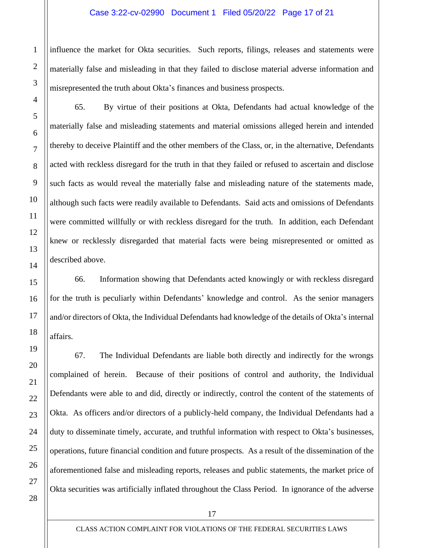influence the market for Okta securities. Such reports, filings, releases and statements were materially false and misleading in that they failed to disclose material adverse information and misrepresented the truth about Okta's finances and business prospects.

65. By virtue of their positions at Okta, Defendants had actual knowledge of the materially false and misleading statements and material omissions alleged herein and intended thereby to deceive Plaintiff and the other members of the Class, or, in the alternative, Defendants acted with reckless disregard for the truth in that they failed or refused to ascertain and disclose such facts as would reveal the materially false and misleading nature of the statements made, although such facts were readily available to Defendants. Said acts and omissions of Defendants were committed willfully or with reckless disregard for the truth. In addition, each Defendant knew or recklessly disregarded that material facts were being misrepresented or omitted as described above.

66. Information showing that Defendants acted knowingly or with reckless disregard for the truth is peculiarly within Defendants' knowledge and control. As the senior managers and/or directors of Okta, the Individual Defendants had knowledge of the details of Okta's internal affairs.

67. The Individual Defendants are liable both directly and indirectly for the wrongs complained of herein. Because of their positions of control and authority, the Individual Defendants were able to and did, directly or indirectly, control the content of the statements of Okta. As officers and/or directors of a publicly-held company, the Individual Defendants had a duty to disseminate timely, accurate, and truthful information with respect to Okta's businesses, operations, future financial condition and future prospects. As a result of the dissemination of the aforementioned false and misleading reports, releases and public statements, the market price of Okta securities was artificially inflated throughout the Class Period. In ignorance of the adverse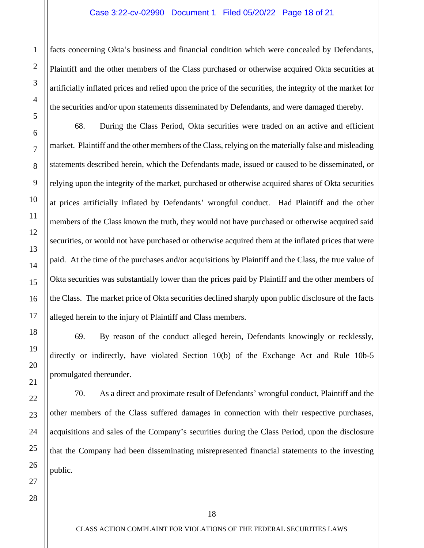#### Case 3:22-cv-02990 Document 1 Filed 05/20/22 Page 18 of 21

facts concerning Okta's business and financial condition which were concealed by Defendants, Plaintiff and the other members of the Class purchased or otherwise acquired Okta securities at artificially inflated prices and relied upon the price of the securities, the integrity of the market for the securities and/or upon statements disseminated by Defendants, and were damaged thereby.

68. During the Class Period, Okta securities were traded on an active and efficient market. Plaintiff and the other members of the Class, relying on the materially false and misleading statements described herein, which the Defendants made, issued or caused to be disseminated, or relying upon the integrity of the market, purchased or otherwise acquired shares of Okta securities at prices artificially inflated by Defendants' wrongful conduct. Had Plaintiff and the other members of the Class known the truth, they would not have purchased or otherwise acquired said securities, or would not have purchased or otherwise acquired them at the inflated prices that were paid. At the time of the purchases and/or acquisitions by Plaintiff and the Class, the true value of Okta securities was substantially lower than the prices paid by Plaintiff and the other members of the Class. The market price of Okta securities declined sharply upon public disclosure of the facts alleged herein to the injury of Plaintiff and Class members.

69. By reason of the conduct alleged herein, Defendants knowingly or recklessly, directly or indirectly, have violated Section 10(b) of the Exchange Act and Rule 10b-5 promulgated thereunder.

70. As a direct and proximate result of Defendants' wrongful conduct, Plaintiff and the other members of the Class suffered damages in connection with their respective purchases, acquisitions and sales of the Company's securities during the Class Period, upon the disclosure that the Company had been disseminating misrepresented financial statements to the investing public.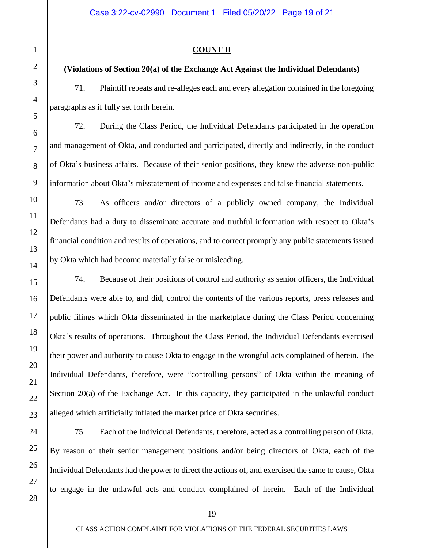# **COUNT II**

# **(Violations of Section 20(a) of the Exchange Act Against the Individual Defendants)**

71. Plaintiff repeats and re-alleges each and every allegation contained in the foregoing paragraphs as if fully set forth herein.

72. During the Class Period, the Individual Defendants participated in the operation and management of Okta, and conducted and participated, directly and indirectly, in the conduct of Okta's business affairs. Because of their senior positions, they knew the adverse non-public information about Okta's misstatement of income and expenses and false financial statements.

73. As officers and/or directors of a publicly owned company, the Individual Defendants had a duty to disseminate accurate and truthful information with respect to Okta's financial condition and results of operations, and to correct promptly any public statements issued by Okta which had become materially false or misleading.

74. Because of their positions of control and authority as senior officers, the Individual Defendants were able to, and did, control the contents of the various reports, press releases and public filings which Okta disseminated in the marketplace during the Class Period concerning Okta's results of operations. Throughout the Class Period, the Individual Defendants exercised their power and authority to cause Okta to engage in the wrongful acts complained of herein. The Individual Defendants, therefore, were "controlling persons" of Okta within the meaning of Section 20(a) of the Exchange Act. In this capacity, they participated in the unlawful conduct alleged which artificially inflated the market price of Okta securities.

75. Each of the Individual Defendants, therefore, acted as a controlling person of Okta. By reason of their senior management positions and/or being directors of Okta, each of the Individual Defendants had the power to direct the actions of, and exercised the same to cause, Okta to engage in the unlawful acts and conduct complained of herein. Each of the Individual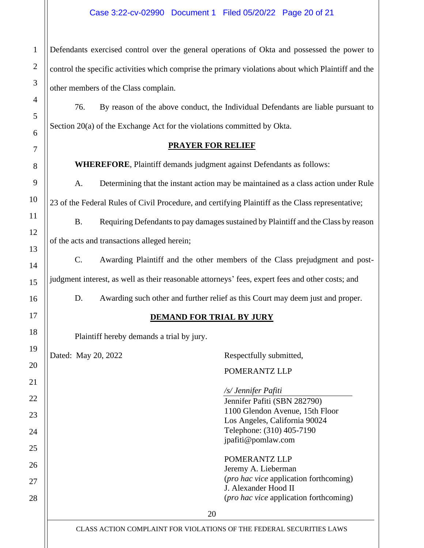## Case 3:22-cv-02990 Document 1 Filed 05/20/22 Page 20 of 21

Defendants exercised control over the general operations of Okta and possessed the power to control the specific activities which comprise the primary violations about which Plaintiff and the other members of the Class complain.

76. By reason of the above conduct, the Individual Defendants are liable pursuant to Section 20(a) of the Exchange Act for the violations committed by Okta.

**PRAYER FOR RELIEF**

**WHEREFORE**, Plaintiff demands judgment against Defendants as follows:

A. Determining that the instant action may be maintained as a class action under Rule 23 of the Federal Rules of Civil Procedure, and certifying Plaintiff as the Class representative;

B. Requiring Defendants to pay damages sustained by Plaintiff and the Class by reason of the acts and transactions alleged herein;

C. Awarding Plaintiff and the other members of the Class prejudgment and postjudgment interest, as well as their reasonable attorneys' fees, expert fees and other costs; and

D. Awarding such other and further relief as this Court may deem just and proper.

# **DEMAND FOR TRIAL BY JURY**

Plaintiff hereby demands a trial by jury.

Dated: May 20, 2022 Respectfully submitted,

1

2

3

4

5

6

7

8

9

10

11

12

13

14

15

16

17

18

19

20

21

22

23

24

25

26

27

28

POMERANTZ LLP

*/s/ Jennifer Pafiti* Jennifer Pafiti (SBN 282790) 1100 Glendon Avenue, 15th Floor Los Angeles, California 90024 Telephone: (310) 405-7190 jpafiti@pomlaw.com POMERANTZ LLP Jeremy A. Lieberman (*pro hac vice* application forthcoming) J. Alexander Hood II (*pro hac vice* application forthcoming)